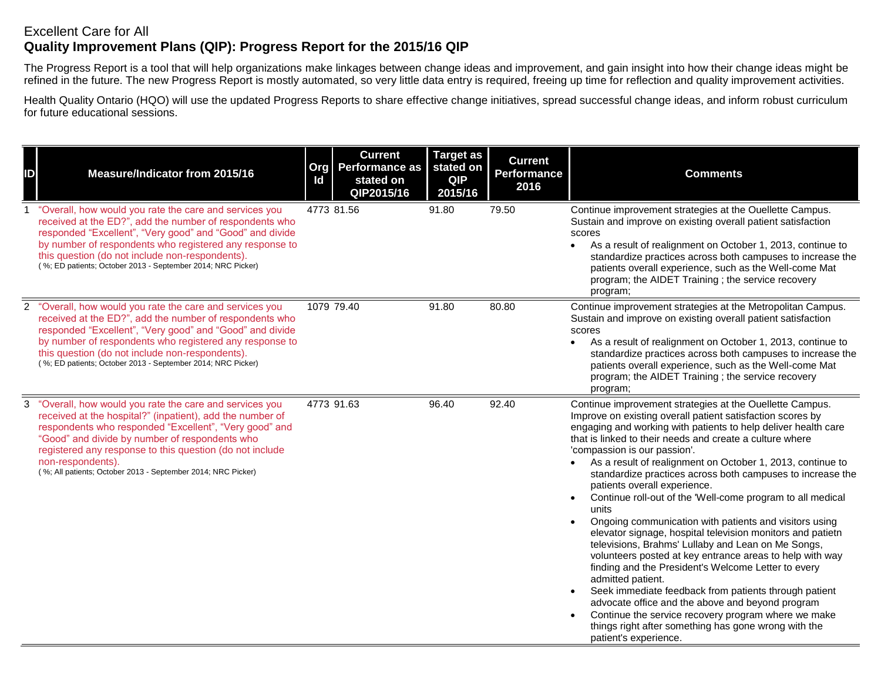## Excellent Care for All **Quality Improvement Plans (QIP): Progress Report for the 2015/16 QIP**

The Progress Report is a tool that will help organizations make linkages between change ideas and improvement, and gain insight into how their change ideas might be refined in the future. The new Progress Report is mostly automated, so very little data entry is required, freeing up time for reflection and quality improvement activities.

Health Quality Ontario (HQO) will use the updated Progress Reports to share effective change initiatives, spread successful change ideas, and inform robust curriculum for future educational sessions.

| ID             | Measure/Indicator from 2015/16                                                                                                                                                                                                                                                                                                                                                   | Id | <b>Current</b><br>Org   Performance as<br>stated on<br>QIP2015/16 | <b>Target as</b><br>stated on<br><b>QIP</b><br>2015/16 | <b>Current</b><br><b>Performance</b><br>2016 | <b>Comments</b>                                                                                                                                                                                                                                                                                                                                                                                                                                                                                                                                                                                                                                                                                                                                                                                                                                                                                                                                                                                                                                                                                    |
|----------------|----------------------------------------------------------------------------------------------------------------------------------------------------------------------------------------------------------------------------------------------------------------------------------------------------------------------------------------------------------------------------------|----|-------------------------------------------------------------------|--------------------------------------------------------|----------------------------------------------|----------------------------------------------------------------------------------------------------------------------------------------------------------------------------------------------------------------------------------------------------------------------------------------------------------------------------------------------------------------------------------------------------------------------------------------------------------------------------------------------------------------------------------------------------------------------------------------------------------------------------------------------------------------------------------------------------------------------------------------------------------------------------------------------------------------------------------------------------------------------------------------------------------------------------------------------------------------------------------------------------------------------------------------------------------------------------------------------------|
| $\mathbf{1}$   | "Overall, how would you rate the care and services you<br>received at the ED?", add the number of respondents who<br>responded "Excellent", "Very good" and "Good" and divide<br>by number of respondents who registered any response to<br>this question (do not include non-respondents).<br>(%; ED patients; October 2013 - September 2014; NRC Picker)                       |    | 4773 81.56                                                        | 91.80                                                  | 79.50                                        | Continue improvement strategies at the Ouellette Campus.<br>Sustain and improve on existing overall patient satisfaction<br>scores<br>As a result of realignment on October 1, 2013, continue to<br>$\bullet$<br>standardize practices across both campuses to increase the<br>patients overall experience, such as the Well-come Mat<br>program; the AIDET Training; the service recovery<br>program;                                                                                                                                                                                                                                                                                                                                                                                                                                                                                                                                                                                                                                                                                             |
|                | 2 "Overall, how would you rate the care and services you<br>received at the ED?", add the number of respondents who<br>responded "Excellent", "Very good" and "Good" and divide<br>by number of respondents who registered any response to<br>this question (do not include non-respondents).<br>(%; ED patients; October 2013 - September 2014; NRC Picker)                     |    | 1079 79.40                                                        | 91.80                                                  | 80.80                                        | Continue improvement strategies at the Metropolitan Campus.<br>Sustain and improve on existing overall patient satisfaction<br>scores<br>As a result of realignment on October 1, 2013, continue to<br>standardize practices across both campuses to increase the<br>patients overall experience, such as the Well-come Mat<br>program; the AIDET Training; the service recovery<br>program;                                                                                                                                                                                                                                                                                                                                                                                                                                                                                                                                                                                                                                                                                                       |
| 3 <sup>1</sup> | "Overall, how would you rate the care and services you<br>received at the hospital?" (inpatient), add the number of<br>respondents who responded "Excellent", "Very good" and<br>"Good" and divide by number of respondents who<br>registered any response to this question (do not include<br>non-respondents).<br>(%; All patients; October 2013 - September 2014; NRC Picker) |    | 4773 91.63                                                        | 96.40                                                  | 92.40                                        | Continue improvement strategies at the Ouellette Campus.<br>Improve on existing overall patient satisfaction scores by<br>engaging and working with patients to help deliver health care<br>that is linked to their needs and create a culture where<br>'compassion is our passion'.<br>As a result of realignment on October 1, 2013, continue to<br>standardize practices across both campuses to increase the<br>patients overall experience.<br>Continue roll-out of the 'Well-come program to all medical<br>units<br>Ongoing communication with patients and visitors using<br>elevator signage, hospital television monitors and patietn<br>televisions, Brahms' Lullaby and Lean on Me Songs,<br>volunteers posted at key entrance areas to help with way<br>finding and the President's Welcome Letter to every<br>admitted patient.<br>Seek immediate feedback from patients through patient<br>advocate office and the above and beyond program<br>Continue the service recovery program where we make<br>things right after something has gone wrong with the<br>patient's experience. |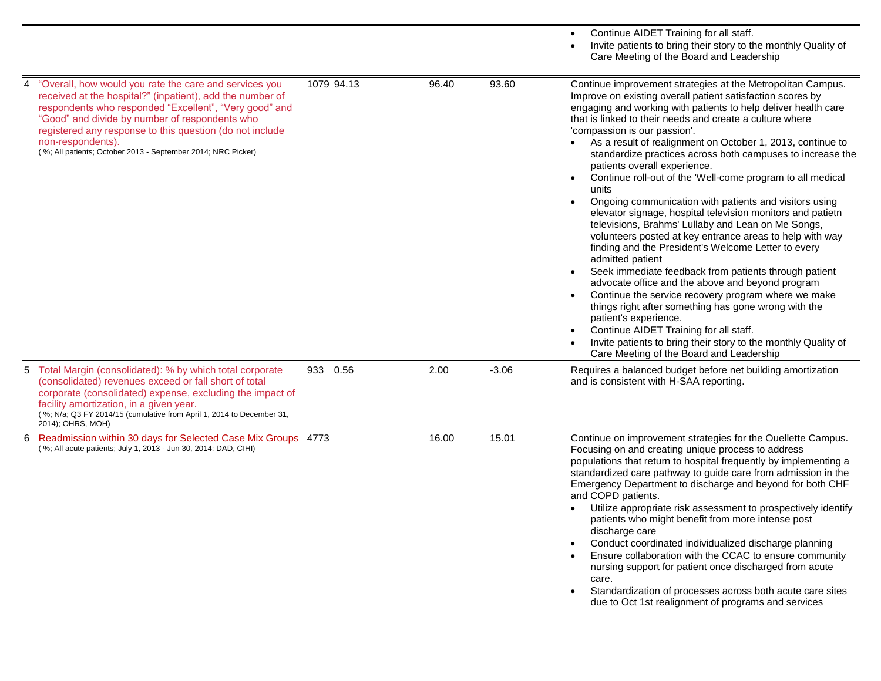|   |                                                                                                                                                                                                                                                                                                                                                                                  |            |       |         | Continue AIDET Training for all staff.<br>Invite patients to bring their story to the monthly Quality of<br>Care Meeting of the Board and Leadership                                                                                                                                                                                                                                                                                                                                                                                                                                                                                                                                                                                                                                                                                                                                                                                                                                                                                                                                                                                                                                                                                                         |
|---|----------------------------------------------------------------------------------------------------------------------------------------------------------------------------------------------------------------------------------------------------------------------------------------------------------------------------------------------------------------------------------|------------|-------|---------|--------------------------------------------------------------------------------------------------------------------------------------------------------------------------------------------------------------------------------------------------------------------------------------------------------------------------------------------------------------------------------------------------------------------------------------------------------------------------------------------------------------------------------------------------------------------------------------------------------------------------------------------------------------------------------------------------------------------------------------------------------------------------------------------------------------------------------------------------------------------------------------------------------------------------------------------------------------------------------------------------------------------------------------------------------------------------------------------------------------------------------------------------------------------------------------------------------------------------------------------------------------|
| 4 | "Overall, how would you rate the care and services you<br>received at the hospital?" (inpatient), add the number of<br>respondents who responded "Excellent", "Very good" and<br>"Good" and divide by number of respondents who<br>registered any response to this question (do not include<br>non-respondents).<br>(%; All patients; October 2013 - September 2014; NRC Picker) | 1079 94.13 | 96.40 | 93.60   | Continue improvement strategies at the Metropolitan Campus.<br>Improve on existing overall patient satisfaction scores by<br>engaging and working with patients to help deliver health care<br>that is linked to their needs and create a culture where<br>'compassion is our passion'.<br>As a result of realignment on October 1, 2013, continue to<br>standardize practices across both campuses to increase the<br>patients overall experience.<br>Continue roll-out of the 'Well-come program to all medical<br>units<br>Ongoing communication with patients and visitors using<br>elevator signage, hospital television monitors and patietn<br>televisions, Brahms' Lullaby and Lean on Me Songs,<br>volunteers posted at key entrance areas to help with way<br>finding and the President's Welcome Letter to every<br>admitted patient<br>Seek immediate feedback from patients through patient<br>advocate office and the above and beyond program<br>Continue the service recovery program where we make<br>things right after something has gone wrong with the<br>patient's experience.<br>Continue AIDET Training for all staff.<br>Invite patients to bring their story to the monthly Quality of<br>Care Meeting of the Board and Leadership |
|   | 5 Total Margin (consolidated): % by which total corporate<br>(consolidated) revenues exceed or fall short of total<br>corporate (consolidated) expense, excluding the impact of<br>facility amortization, in a given year.<br>(%; N/a; Q3 FY 2014/15 (cumulative from April 1, 2014 to December 31,<br>2014); OHRS, MOH)                                                         | 933 0.56   | 2.00  | $-3.06$ | Requires a balanced budget before net building amortization<br>and is consistent with H-SAA reporting.                                                                                                                                                                                                                                                                                                                                                                                                                                                                                                                                                                                                                                                                                                                                                                                                                                                                                                                                                                                                                                                                                                                                                       |
| 6 | Readmission within 30 days for Selected Case Mix Groups 4773<br>(%; All acute patients; July 1, 2013 - Jun 30, 2014; DAD, CIHI)                                                                                                                                                                                                                                                  |            | 16.00 | 15.01   | Continue on improvement strategies for the Ouellette Campus.<br>Focusing on and creating unique process to address<br>populations that return to hospital frequently by implementing a<br>standardized care pathway to guide care from admission in the<br>Emergency Department to discharge and beyond for both CHF<br>and COPD patients.<br>Utilize appropriate risk assessment to prospectively identify<br>patients who might benefit from more intense post<br>discharge care<br>Conduct coordinated individualized discharge planning<br>Ensure collaboration with the CCAC to ensure community<br>nursing support for patient once discharged from acute<br>care.<br>Standardization of processes across both acute care sites<br>$\bullet$<br>due to Oct 1st realignment of programs and services                                                                                                                                                                                                                                                                                                                                                                                                                                                    |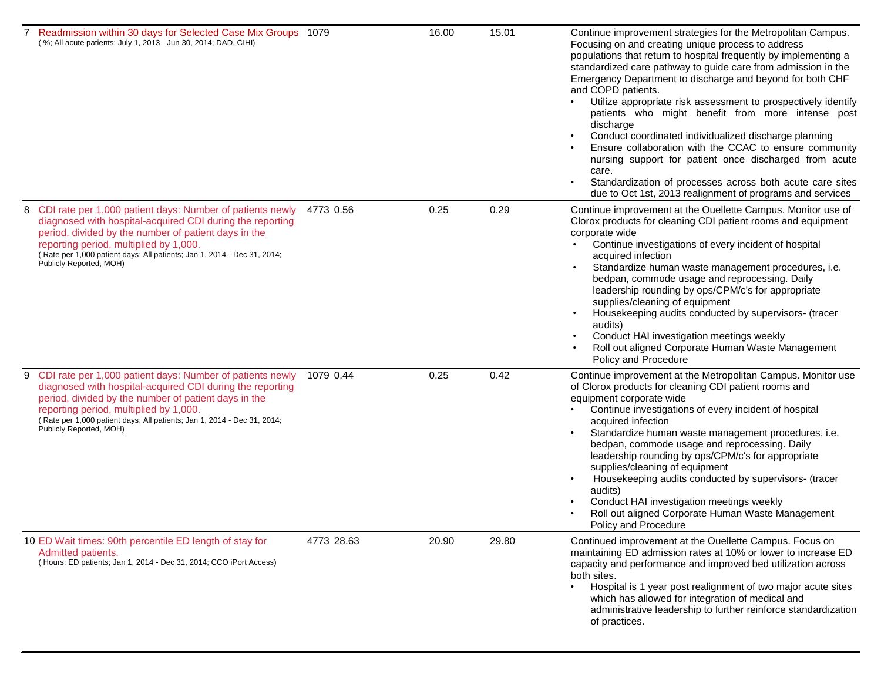|   | 7 Readmission within 30 days for Selected Case Mix Groups 1079<br>(%; All acute patients; July 1, 2013 - Jun 30, 2014; DAD, CIHI)                                                                                                                                                                                                |            | 16.00 | 15.01 | Continue improvement strategies for the Metropolitan Campus.<br>Focusing on and creating unique process to address<br>populations that return to hospital frequently by implementing a<br>standardized care pathway to guide care from admission in the<br>Emergency Department to discharge and beyond for both CHF<br>and COPD patients.<br>Utilize appropriate risk assessment to prospectively identify<br>patients who might benefit from more intense post<br>discharge<br>Conduct coordinated individualized discharge planning<br>Ensure collaboration with the CCAC to ensure community<br>nursing support for patient once discharged from acute<br>care.<br>Standardization of processes across both acute care sites<br>due to Oct 1st, 2013 realignment of programs and services |
|---|----------------------------------------------------------------------------------------------------------------------------------------------------------------------------------------------------------------------------------------------------------------------------------------------------------------------------------|------------|-------|-------|-----------------------------------------------------------------------------------------------------------------------------------------------------------------------------------------------------------------------------------------------------------------------------------------------------------------------------------------------------------------------------------------------------------------------------------------------------------------------------------------------------------------------------------------------------------------------------------------------------------------------------------------------------------------------------------------------------------------------------------------------------------------------------------------------|
|   | 8 CDI rate per 1,000 patient days: Number of patients newly<br>diagnosed with hospital-acquired CDI during the reporting<br>period, divided by the number of patient days in the<br>reporting period, multiplied by 1,000.<br>(Rate per 1,000 patient days; All patients; Jan 1, 2014 - Dec 31, 2014;<br>Publicly Reported, MOH) | 4773 0.56  | 0.25  | 0.29  | Continue improvement at the Ouellette Campus. Monitor use of<br>Clorox products for cleaning CDI patient rooms and equipment<br>corporate wide<br>Continue investigations of every incident of hospital<br>acquired infection<br>Standardize human waste management procedures, i.e.<br>bedpan, commode usage and reprocessing. Daily<br>leadership rounding by ops/CPM/c's for appropriate<br>supplies/cleaning of equipment<br>Housekeeping audits conducted by supervisors- (tracer<br>$\bullet$<br>audits)<br>Conduct HAI investigation meetings weekly<br>Roll out aligned Corporate Human Waste Management<br>Policy and Procedure                                                                                                                                                      |
| 9 | CDI rate per 1,000 patient days: Number of patients newly<br>diagnosed with hospital-acquired CDI during the reporting<br>period, divided by the number of patient days in the<br>reporting period, multiplied by 1,000.<br>(Rate per 1,000 patient days; All patients; Jan 1, 2014 - Dec 31, 2014;<br>Publicly Reported, MOH)   | 1079 0.44  | 0.25  | 0.42  | Continue improvement at the Metropolitan Campus. Monitor use<br>of Clorox products for cleaning CDI patient rooms and<br>equipment corporate wide<br>Continue investigations of every incident of hospital<br>acquired infection<br>Standardize human waste management procedures, i.e.<br>bedpan, commode usage and reprocessing. Daily<br>leadership rounding by ops/CPM/c's for appropriate<br>supplies/cleaning of equipment<br>Housekeeping audits conducted by supervisors- (tracer<br>audits)<br>Conduct HAI investigation meetings weekly<br>Roll out aligned Corporate Human Waste Management<br>Policy and Procedure                                                                                                                                                                |
|   | 10 ED Wait times: 90th percentile ED length of stay for<br>Admitted patients.<br>(Hours; ED patients; Jan 1, 2014 - Dec 31, 2014; CCO iPort Access)                                                                                                                                                                              | 4773 28.63 | 20.90 | 29.80 | Continued improvement at the Ouellette Campus. Focus on<br>maintaining ED admission rates at 10% or lower to increase ED<br>capacity and performance and improved bed utilization across<br>both sites.<br>Hospital is 1 year post realignment of two major acute sites<br>$\bullet$<br>which has allowed for integration of medical and<br>administrative leadership to further reinforce standardization<br>of practices.                                                                                                                                                                                                                                                                                                                                                                   |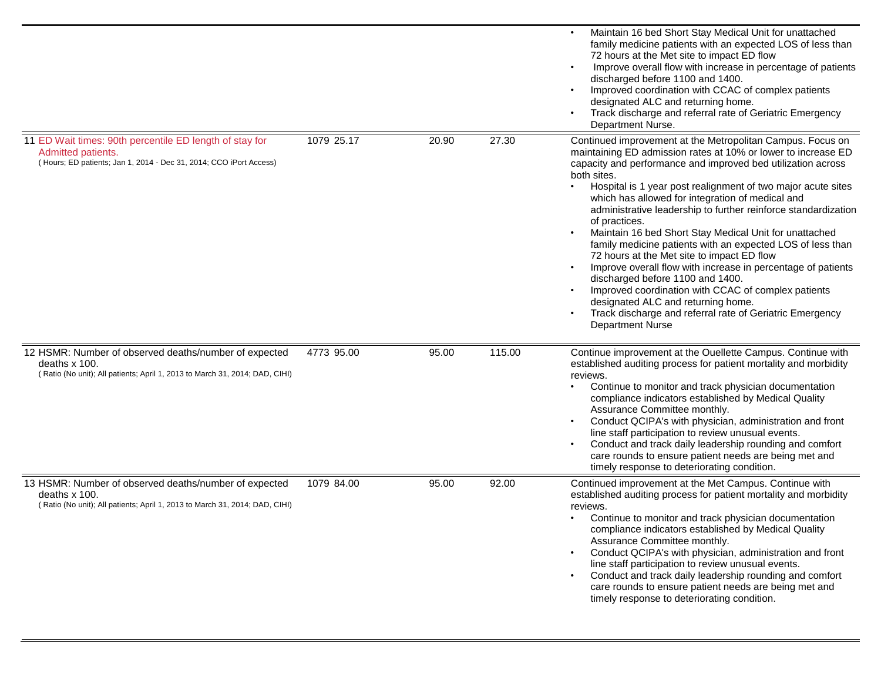|                                                                                                                                                              |            |       |        | Maintain 16 bed Short Stay Medical Unit for unattached<br>family medicine patients with an expected LOS of less than<br>72 hours at the Met site to impact ED flow<br>Improve overall flow with increase in percentage of patients<br>discharged before 1100 and 1400.<br>Improved coordination with CCAC of complex patients<br>designated ALC and returning home.<br>Track discharge and referral rate of Geriatric Emergency<br>Department Nurse.                                                                                                                                                                                                                                                                                                                                                                                                                            |
|--------------------------------------------------------------------------------------------------------------------------------------------------------------|------------|-------|--------|---------------------------------------------------------------------------------------------------------------------------------------------------------------------------------------------------------------------------------------------------------------------------------------------------------------------------------------------------------------------------------------------------------------------------------------------------------------------------------------------------------------------------------------------------------------------------------------------------------------------------------------------------------------------------------------------------------------------------------------------------------------------------------------------------------------------------------------------------------------------------------|
| 11 ED Wait times: 90th percentile ED length of stay for<br>Admitted patients.<br>(Hours; ED patients; Jan 1, 2014 - Dec 31, 2014; CCO iPort Access)          | 1079 25.17 | 20.90 | 27.30  | Continued improvement at the Metropolitan Campus. Focus on<br>maintaining ED admission rates at 10% or lower to increase ED<br>capacity and performance and improved bed utilization across<br>both sites.<br>Hospital is 1 year post realignment of two major acute sites<br>which has allowed for integration of medical and<br>administrative leadership to further reinforce standardization<br>of practices.<br>Maintain 16 bed Short Stay Medical Unit for unattached<br>family medicine patients with an expected LOS of less than<br>72 hours at the Met site to impact ED flow<br>Improve overall flow with increase in percentage of patients<br>discharged before 1100 and 1400.<br>Improved coordination with CCAC of complex patients<br>designated ALC and returning home.<br>Track discharge and referral rate of Geriatric Emergency<br><b>Department Nurse</b> |
| 12 HSMR: Number of observed deaths/number of expected<br>deaths $x$ 100.<br>(Ratio (No unit); All patients; April 1, 2013 to March 31, 2014; DAD, CIHI)      | 4773 95.00 | 95.00 | 115.00 | Continue improvement at the Ouellette Campus. Continue with<br>established auditing process for patient mortality and morbidity<br>reviews.<br>Continue to monitor and track physician documentation<br>compliance indicators established by Medical Quality<br>Assurance Committee monthly.<br>Conduct QCIPA's with physician, administration and front<br>line staff participation to review unusual events.<br>Conduct and track daily leadership rounding and comfort<br>care rounds to ensure patient needs are being met and<br>timely response to deteriorating condition.                                                                                                                                                                                                                                                                                               |
| 13 HSMR: Number of observed deaths/number of expected<br>deaths $\times$ 100.<br>(Ratio (No unit); All patients; April 1, 2013 to March 31, 2014; DAD, CIHI) | 1079 84.00 | 95.00 | 92.00  | Continued improvement at the Met Campus. Continue with<br>established auditing process for patient mortality and morbidity<br>reviews.<br>Continue to monitor and track physician documentation<br>compliance indicators established by Medical Quality<br>Assurance Committee monthly.<br>Conduct QCIPA's with physician, administration and front<br>line staff participation to review unusual events.<br>Conduct and track daily leadership rounding and comfort<br>care rounds to ensure patient needs are being met and<br>timely response to deteriorating condition.                                                                                                                                                                                                                                                                                                    |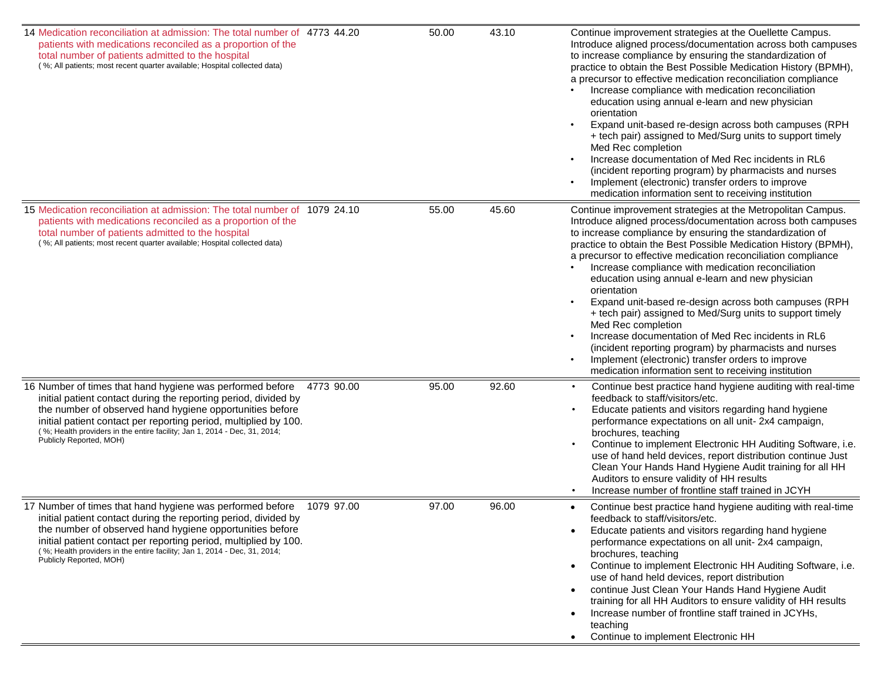| 14 Medication reconciliation at admission: The total number of 4773 44.20<br>patients with medications reconciled as a proportion of the<br>total number of patients admitted to the hospital<br>(%; All patients; most recent quarter available; Hospital collected data)                                                                                                         | 50.00 | 43.10 | Continue improvement strategies at the Ouellette Campus.<br>Introduce aligned process/documentation across both campuses<br>to increase compliance by ensuring the standardization of<br>practice to obtain the Best Possible Medication History (BPMH),<br>a precursor to effective medication reconciliation compliance<br>Increase compliance with medication reconciliation<br>education using annual e-learn and new physician<br>orientation<br>Expand unit-based re-design across both campuses (RPH<br>+ tech pair) assigned to Med/Surg units to support timely<br>Med Rec completion<br>Increase documentation of Med Rec incidents in RL6<br>(incident reporting program) by pharmacists and nurses<br>Implement (electronic) transfer orders to improve<br>medication information sent to receiving institution    |
|------------------------------------------------------------------------------------------------------------------------------------------------------------------------------------------------------------------------------------------------------------------------------------------------------------------------------------------------------------------------------------|-------|-------|--------------------------------------------------------------------------------------------------------------------------------------------------------------------------------------------------------------------------------------------------------------------------------------------------------------------------------------------------------------------------------------------------------------------------------------------------------------------------------------------------------------------------------------------------------------------------------------------------------------------------------------------------------------------------------------------------------------------------------------------------------------------------------------------------------------------------------|
| 15 Medication reconciliation at admission: The total number of 1079 24.10<br>patients with medications reconciled as a proportion of the<br>total number of patients admitted to the hospital<br>(%; All patients; most recent quarter available; Hospital collected data)                                                                                                         | 55.00 | 45.60 | Continue improvement strategies at the Metropolitan Campus.<br>Introduce aligned process/documentation across both campuses<br>to increase compliance by ensuring the standardization of<br>practice to obtain the Best Possible Medication History (BPMH),<br>a precursor to effective medication reconciliation compliance<br>Increase compliance with medication reconciliation<br>education using annual e-learn and new physician<br>orientation<br>Expand unit-based re-design across both campuses (RPH<br>+ tech pair) assigned to Med/Surg units to support timely<br>Med Rec completion<br>Increase documentation of Med Rec incidents in RL6<br>(incident reporting program) by pharmacists and nurses<br>Implement (electronic) transfer orders to improve<br>medication information sent to receiving institution |
| 16 Number of times that hand hygiene was performed before<br>4773 90.00<br>initial patient contact during the reporting period, divided by<br>the number of observed hand hygiene opportunities before<br>initial patient contact per reporting period, multiplied by 100.<br>(%; Health providers in the entire facility; Jan 1, 2014 - Dec, 31, 2014;<br>Publicly Reported, MOH) | 95.00 | 92.60 | Continue best practice hand hygiene auditing with real-time<br>feedback to staff/visitors/etc.<br>Educate patients and visitors regarding hand hygiene<br>performance expectations on all unit-2x4 campaign,<br>brochures, teaching<br>Continue to implement Electronic HH Auditing Software, i.e.<br>use of hand held devices, report distribution continue Just<br>Clean Your Hands Hand Hygiene Audit training for all HH<br>Auditors to ensure validity of HH results<br>Increase number of frontline staff trained in JCYH                                                                                                                                                                                                                                                                                                |
| 17 Number of times that hand hygiene was performed before<br>1079 97.00<br>initial patient contact during the reporting period, divided by<br>the number of observed hand hygiene opportunities before<br>initial patient contact per reporting period, multiplied by 100.<br>(%; Health providers in the entire facility; Jan 1, 2014 - Dec, 31, 2014;<br>Publicly Reported, MOH) | 97.00 | 96.00 | Continue best practice hand hygiene auditing with real-time<br>feedback to staff/visitors/etc.<br>Educate patients and visitors regarding hand hygiene<br>performance expectations on all unit-2x4 campaign,<br>brochures, teaching<br>Continue to implement Electronic HH Auditing Software, i.e.<br>use of hand held devices, report distribution<br>continue Just Clean Your Hands Hand Hygiene Audit<br>training for all HH Auditors to ensure validity of HH results<br>Increase number of frontline staff trained in JCYHs,<br>teaching<br>Continue to implement Electronic HH                                                                                                                                                                                                                                           |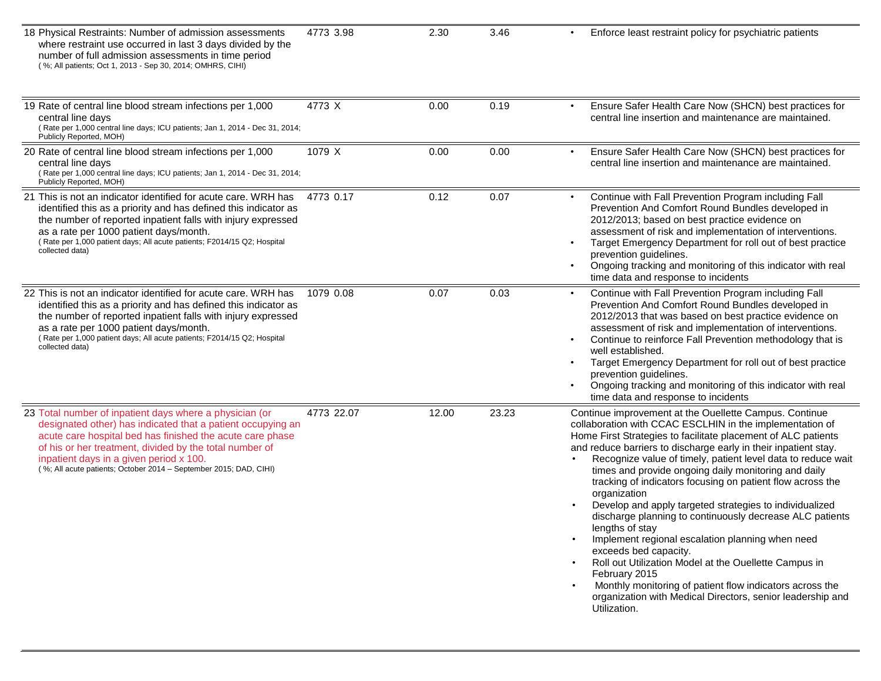| 18 Physical Restraints: Number of admission assessments<br>where restraint use occurred in last 3 days divided by the<br>number of full admission assessments in time period<br>(%; All patients; Oct 1, 2013 - Sep 30, 2014; OMHRS, CIHI)                                                                                                                     | 4773 3.98  | 2.30  | 3.46  | Enforce least restraint policy for psychiatric patients                                                                                                                                                                                                                                                                                                                                                                                                                                                                                                                                                                                                                                                                                                                                                                                                                                                 |
|----------------------------------------------------------------------------------------------------------------------------------------------------------------------------------------------------------------------------------------------------------------------------------------------------------------------------------------------------------------|------------|-------|-------|---------------------------------------------------------------------------------------------------------------------------------------------------------------------------------------------------------------------------------------------------------------------------------------------------------------------------------------------------------------------------------------------------------------------------------------------------------------------------------------------------------------------------------------------------------------------------------------------------------------------------------------------------------------------------------------------------------------------------------------------------------------------------------------------------------------------------------------------------------------------------------------------------------|
| 19 Rate of central line blood stream infections per 1,000<br>central line days<br>(Rate per 1,000 central line days; ICU patients; Jan 1, 2014 - Dec 31, 2014;<br>Publicly Reported, MOH)                                                                                                                                                                      | 4773 X     | 0.00  | 0.19  | Ensure Safer Health Care Now (SHCN) best practices for<br>central line insertion and maintenance are maintained.                                                                                                                                                                                                                                                                                                                                                                                                                                                                                                                                                                                                                                                                                                                                                                                        |
| 20 Rate of central line blood stream infections per 1,000<br>central line days<br>(Rate per 1,000 central line days; ICU patients; Jan 1, 2014 - Dec 31, 2014;<br>Publicly Reported, MOH)                                                                                                                                                                      | 1079 X     | 0.00  | 0.00  | Ensure Safer Health Care Now (SHCN) best practices for<br>central line insertion and maintenance are maintained.                                                                                                                                                                                                                                                                                                                                                                                                                                                                                                                                                                                                                                                                                                                                                                                        |
| 21 This is not an indicator identified for acute care. WRH has<br>identified this as a priority and has defined this indicator as<br>the number of reported inpatient falls with injury expressed<br>as a rate per 1000 patient days/month.<br>(Rate per 1,000 patient days; All acute patients; F2014/15 Q2; Hospital<br>collected data)                      | 4773 0.17  | 0.12  | 0.07  | Continue with Fall Prevention Program including Fall<br>Prevention And Comfort Round Bundles developed in<br>2012/2013; based on best practice evidence on<br>assessment of risk and implementation of interventions.<br>Target Emergency Department for roll out of best practice<br>$\bullet$<br>prevention guidelines.<br>Ongoing tracking and monitoring of this indicator with real<br>time data and response to incidents                                                                                                                                                                                                                                                                                                                                                                                                                                                                         |
| 22 This is not an indicator identified for acute care. WRH has<br>identified this as a priority and has defined this indicator as<br>the number of reported inpatient falls with injury expressed<br>as a rate per 1000 patient days/month.<br>(Rate per 1,000 patient days; All acute patients; F2014/15 Q2; Hospital<br>collected data)                      | 1079 0.08  | 0.07  | 0.03  | Continue with Fall Prevention Program including Fall<br>Prevention And Comfort Round Bundles developed in<br>2012/2013 that was based on best practice evidence on<br>assessment of risk and implementation of interventions.<br>Continue to reinforce Fall Prevention methodology that is<br>well established.<br>Target Emergency Department for roll out of best practice<br>$\bullet$<br>prevention guidelines.<br>Ongoing tracking and monitoring of this indicator with real<br>time data and response to incidents                                                                                                                                                                                                                                                                                                                                                                               |
| 23 Total number of inpatient days where a physician (or<br>designated other) has indicated that a patient occupying an<br>acute care hospital bed has finished the acute care phase<br>of his or her treatment, divided by the total number of<br>inpatient days in a given period x 100.<br>(%; All acute patients; October 2014 - September 2015; DAD, CIHI) | 4773 22.07 | 12.00 | 23.23 | Continue improvement at the Ouellette Campus. Continue<br>collaboration with CCAC ESCLHIN in the implementation of<br>Home First Strategies to facilitate placement of ALC patients<br>and reduce barriers to discharge early in their inpatient stay.<br>Recognize value of timely, patient level data to reduce wait<br>times and provide ongoing daily monitoring and daily<br>tracking of indicators focusing on patient flow across the<br>organization<br>Develop and apply targeted strategies to individualized<br>discharge planning to continuously decrease ALC patients<br>lengths of stay<br>Implement regional escalation planning when need<br>exceeds bed capacity.<br>Roll out Utilization Model at the Ouellette Campus in<br>February 2015<br>Monthly monitoring of patient flow indicators across the<br>organization with Medical Directors, senior leadership and<br>Utilization. |